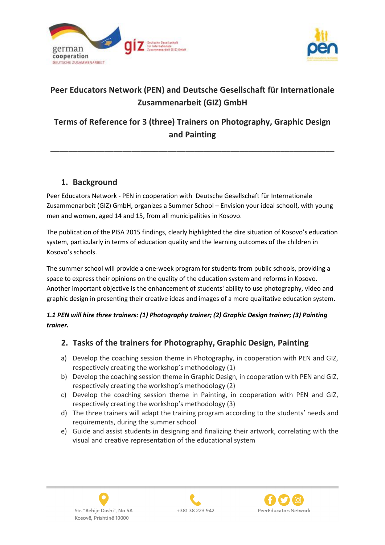



# **Peer Educators Network (PEN) and Deutsche Gesellschaft für Internationale Zusammenarbeit (GIZ) GmbH**

# **Terms of Reference for 3 (three) Trainers on Photography, Graphic Design and Painting**

\_\_\_\_\_\_\_\_\_\_\_\_\_\_\_\_\_\_\_\_\_\_\_\_\_\_\_\_\_\_\_\_\_\_\_\_\_\_\_\_\_\_\_\_\_\_\_\_\_\_\_\_\_\_\_\_\_\_\_\_\_\_\_

### **1. Background**

Peer Educators Network - PEN in cooperation with Deutsche Gesellschaft für Internationale Zusammenarbeit (GIZ) GmbH, organizes a Summer School – Envision your ideal school!, with young men and women, aged 14 and 15, from all municipalities in Kosovo.

The publication of the PISA 2015 findings, clearly highlighted the dire situation of Kosovo's education system, particularly in terms of education quality and the learning outcomes of the children in Kosovo's schools.

The summer school will provide a one-week program for students from public schools, providing a space to express their opinions on the quality of the education system and reforms in Kosovo. Another important objective is the enhancement of students' ability to use photography, video and graphic design in presenting their creative ideas and images of a more qualitative education system.

#### *1.1 PEN will hire three trainers: (1) Photography trainer; (2) Graphic Design trainer; (3) Painting trainer.*

# **2. Tasks of the trainers for Photography, Graphic Design, Painting**

- a) Develop the coaching session theme in Photography, in cooperation with PEN and GIZ, respectively creating the workshop's methodology (1)
- b) Develop the coaching session theme in Graphic Design, in cooperation with PEN and GIZ, respectively creating the workshop's methodology (2)
- c) Develop the coaching session theme in Painting, in cooperation with PEN and GIZ, respectively creating the workshop's methodology (3)
- d) The three trainers will adapt the training program according to the students' needs and requirements, during the summer school
- e) Guide and assist students in designing and finalizing their artwork, correlating with the visual and creative representation of the educational system